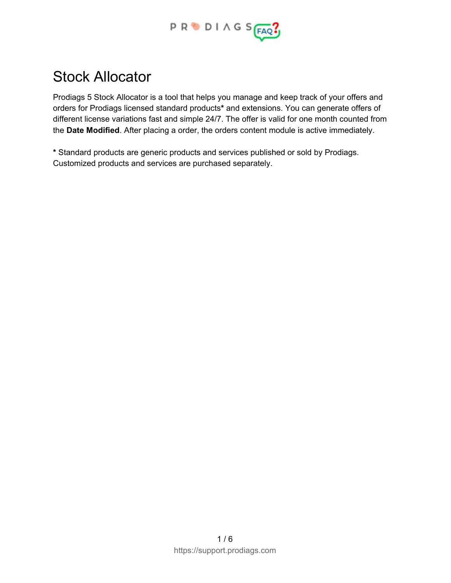

# Stock Allocator

Prodiags 5 Stock Allocator is a tool that helps you manage and keep track of your offers and orders for Prodiags licensed standard products**\*** and extensions. You can generate offers of different license variations fast and simple 24/7. The offer is valid for one month counted from the **Date Modified**. After placing a order, the orders content module is active immediately.

**\*** Standard products are generic products and services published or sold by Prodiags. Customized products and services are purchased separately.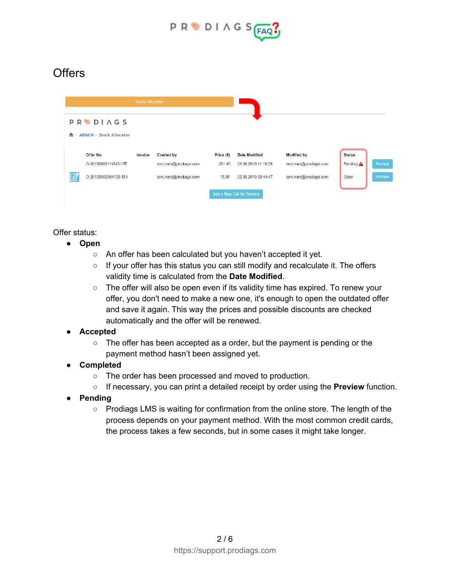

# **Offers**

| <b>Stock Allocator</b> |                                   |         |                        |             |                            |                        |               |         |
|------------------------|-----------------------------------|---------|------------------------|-------------|----------------------------|------------------------|---------------|---------|
|                        | <b>PRODIAGS</b>                   |         |                        |             |                            |                        |               |         |
|                        | <b>ADMIN &gt; Stock Allocator</b> |         |                        |             |                            |                        |               |         |
|                        | Offer No                          | Invoice | Created by             | Price $(E)$ | <b>Date Modified</b>       | <b>Modified by</b>     | <b>Status</b> |         |
|                        | 0-20190802111643-155              |         | tom.ivars@prodiags.com | 261.60      | 02.08.2019 11:19:09        | tom.ivars@prodiags.com | Pending A     | Preview |
|                        | O-20190802094135-154              |         | tom.ivars@prodiags.com | 15.89       | 02.08.2019 09:44:47        | tom.ivars@prodiags.com | Open          | Preview |
|                        |                                   |         |                        |             | Add a New Call for Tenders |                        |               |         |

Offer status:

- **● Open**
	- An offer has been calculated but you haven't accepted it yet.
	- If your offer has this status you can still modify and recalculate it. The offers validity time is calculated from the **Date Modified**.
	- The offer will also be open even if its validity time has expired. To renew your offer, you don't need to make a new one, it's enough to open the outdated offer and save it again. This way the prices and possible discounts are checked automatically and the offer will be renewed.

#### **● Accepted**

- $\circ$  The offer has been accepted as a order, but the payment is pending or the payment method hasn't been assigned yet.
- **● Completed**
	- The order has been processed and moved to production.
	- If necessary, you can print a detailed receipt by order using the **Preview** function.
- **● Pending**
	- Prodiags LMS is waiting for confirmation from the online store. The length of the process depends on your payment method. With the most common credit cards, the process takes a few seconds, but in some cases it might take longer.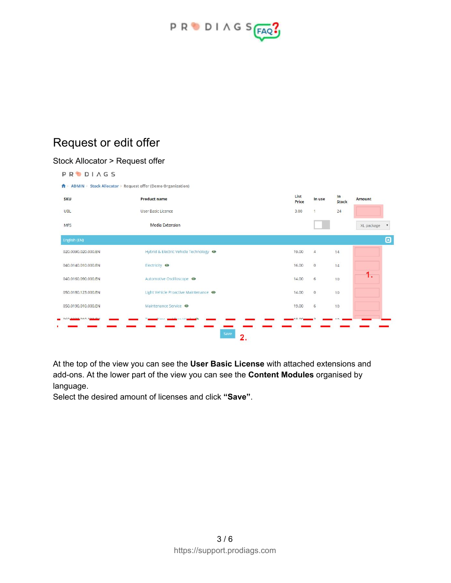

# Request or edit offer

#### Stock Allocator > Request offer

**PRODIAGS** 

A > ADMIN > Stock Allocator > Request offer (Demo Organization)

| <b>SKU</b>          | <b>Product name</b>                    | List<br>Price | In use         | In<br><b>Stock</b> | Amount                           |
|---------------------|----------------------------------------|---------------|----------------|--------------------|----------------------------------|
| <b>UBL</b>          | User Basic Licence                     | 3.00          | 1              | 24                 |                                  |
| man<br><b>MFS</b>   | Media Extension                        |               |                |                    | XL package<br>$\pmb{\mathrm{v}}$ |
| English (EN)        |                                        |               |                |                    | $\boldsymbol{\Theta}$            |
| 020.0090.020.000.EN | Hybrid & Electric Vehicle Technology ● | 19.00         | $\overline{4}$ | 14                 |                                  |
| 040.0140.010.000.EN | Electricity @                          | 16.00         | $\mathbf{0}$   | 14                 |                                  |
| 040.0160.090.000.EN | Automotive Oscilloscope ·              | 14.00         | 6              | 10                 | 1.                               |
| 050.0180.123.000.EN | Light Vehicle Proactive Maintenance @  | 14.00         | $\circ$        | 10                 |                                  |
| 050.0190.010.000.EN | Maintenance Service <sup>o</sup>       | 19.00         | 6              | 10                 |                                  |
| <b>2220100274</b>   |                                        |               |                |                    |                                  |
|                     | Save<br>2.                             |               |                |                    |                                  |

At the top of the view you can see the **User Basic License** with attached extensions and add-ons. At the lower part of the view you can see the **Content Modules** organised by language.

Select the desired amount of licenses and click **"Save"**.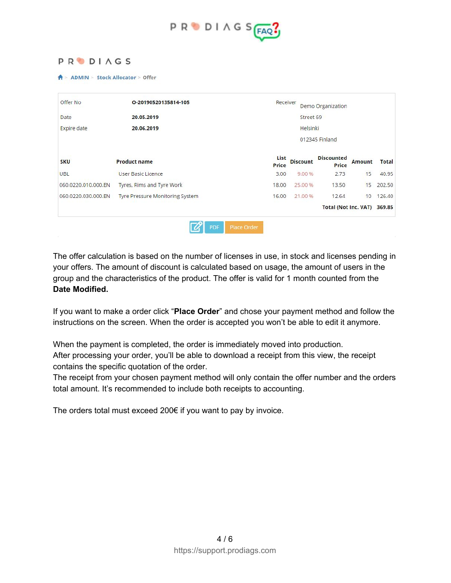

#### **PRODIAGS**

**A** > ADMIN > Stock Allocator > Offer

| Offer No            | O-20190520135814-105            |               | Receiver<br>Demo Organization |                                   |               |              |  |  |  |  |
|---------------------|---------------------------------|---------------|-------------------------------|-----------------------------------|---------------|--------------|--|--|--|--|
| Date                | 20.05.2019                      |               | Street 69                     |                                   |               |              |  |  |  |  |
| <b>Expire</b> date  | 20.06.2019                      |               | Helsinki                      |                                   |               |              |  |  |  |  |
|                     |                                 |               |                               | 012345 Finland                    |               |              |  |  |  |  |
| <b>SKU</b>          | <b>Product name</b>             | List<br>Price | <b>Discount</b>               | <b>Discounted</b><br><b>Price</b> | <b>Amount</b> | <b>Total</b> |  |  |  |  |
| <b>UBL</b>          | User Basic Licence              | 3.00          | 9.00 %                        | 2.73                              | 15            | 40.95        |  |  |  |  |
| 060.0220.010.000.EN | Tyres, Rims and Tyre Work       | 18.00         | 25.00 %                       | 13.50                             | 15            | 202.50       |  |  |  |  |
| 060.0220.030.000.EN | Tyre Pressure Monitoring System | 16.00         | 21.00 %                       | 12.64                             | 10            | 126.40       |  |  |  |  |
|                     |                                 |               |                               | <b>Total (Not Inc. VAT)</b>       |               | 369.85       |  |  |  |  |

The offer calculation is based on the number of licenses in use, in stock and licenses pending in your offers. The amount of discount is calculated based on usage, the amount of users in the group and the characteristics of the product. The offer is valid for 1 month counted from the **Date Modified.**

If you want to make a order click "**Place Order**" and chose your payment method and follow the instructions on the screen. When the order is accepted you won't be able to edit it anymore.

When the payment is completed, the order is immediately moved into production. After processing your order, you'll be able to download a receipt from this view, the receipt contains the specific quotation of the order.

The receipt from your chosen payment method will only contain the offer number and the orders total amount. It's recommended to include both receipts to accounting.

The orders total must exceed 200€ if you want to pay by invoice.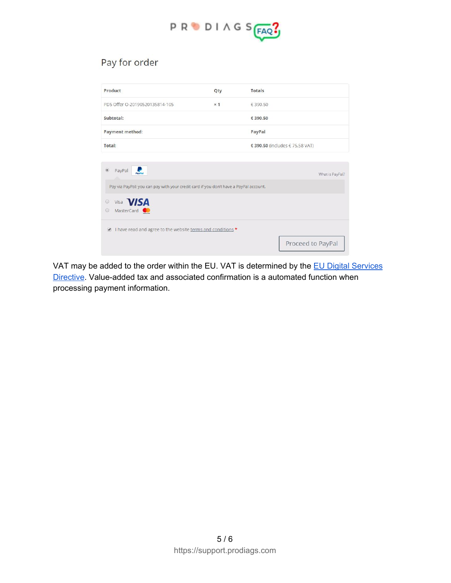

### Pay for order

| Product                                                                                 | Qty        | <b>Totals</b>                   |
|-----------------------------------------------------------------------------------------|------------|---------------------------------|
| PD5 Offer O-20190520135814-105                                                          | $\times$ 1 | € 390.50                        |
| Subtotal:                                                                               |            | € 390.50                        |
| <b>Payment method:</b>                                                                  |            | PayPal                          |
| Total:                                                                                  |            | € 390.50 (includes € 75.58 VAT) |
|                                                                                         |            |                                 |
| PayPal<br><b>PayPo</b>                                                                  |            | What is PayPal?                 |
| Pay via PayPal; you can pay with your credit card if you don't have a PayPal account.   |            |                                 |
| Visa <b>VISA</b><br>$\bigcirc$<br>MasterCard<br>$\odot$                                 |            |                                 |
| I have read and agree to the website terms and conditions *<br>$\overline{\mathscr{L}}$ |            |                                 |
|                                                                                         |            | Proceed to PayPal               |

VAT may be added to the order within the EU. VAT is determined by the EU Digital [Services](https://ec.europa.eu/taxation_customs/business/vat/telecommunications-broadcasting-electronic-services/content/eu-legislation_en) [Directive.](https://ec.europa.eu/taxation_customs/business/vat/telecommunications-broadcasting-electronic-services/content/eu-legislation_en) Value-added tax and associated confirmation is a automated function when processing payment information.